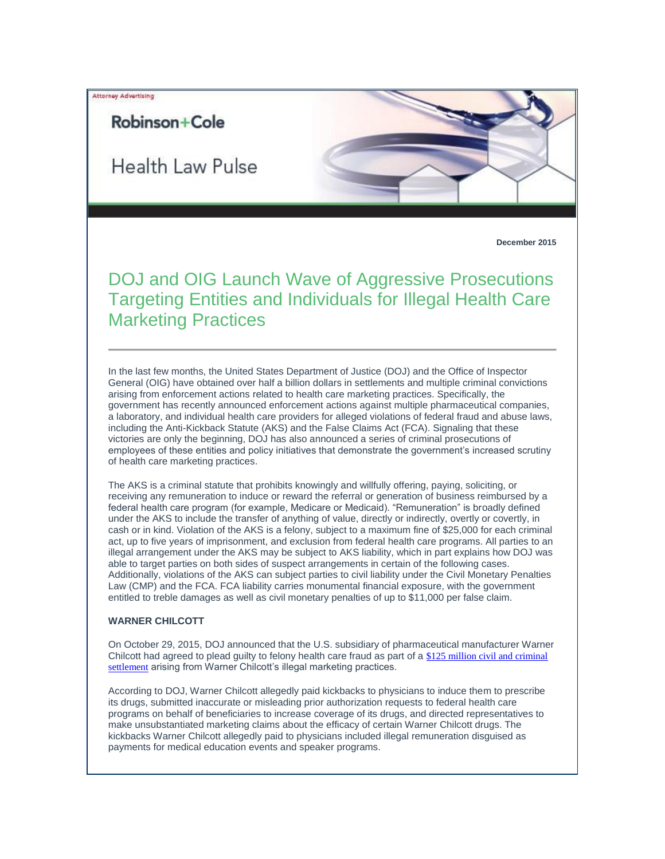## **Attorney Advertising**

# Robinson+Cole

**Health Law Pulse** 



DOJ and OIG Launch Wave of Aggressive Prosecutions Targeting Entities and Individuals for Illegal Health Care Marketing Practices

In the last few months, the United States Department of Justice (DOJ) and the Office of Inspector General (OIG) have obtained over half a billion dollars in settlements and multiple criminal convictions arising from enforcement actions related to health care marketing practices. Specifically, the government has recently announced enforcement actions against multiple pharmaceutical companies, a laboratory, and individual health care providers for alleged violations of federal fraud and abuse laws, including the Anti-Kickback Statute (AKS) and the False Claims Act (FCA). Signaling that these victories are only the beginning, DOJ has also announced a series of criminal prosecutions of employees of these entities and policy initiatives that demonstrate the government's increased scrutiny of health care marketing practices.

The AKS is a criminal statute that prohibits knowingly and willfully offering, paying, soliciting, or receiving any remuneration to induce or reward the referral or generation of business reimbursed by a federal health care program (for example, Medicare or Medicaid). "Remuneration" is broadly defined under the AKS to include the transfer of anything of value, directly or indirectly, overtly or covertly, in cash or in kind. Violation of the AKS is a felony, subject to a maximum fine of \$25,000 for each criminal act, up to five years of imprisonment, and exclusion from federal health care programs. All parties to an illegal arrangement under the AKS may be subject to AKS liability, which in part explains how DOJ was able to target parties on both sides of suspect arrangements in certain of the following cases. Additionally, violations of the AKS can subject parties to civil liability under the Civil Monetary Penalties Law (CMP) and the FCA. FCA liability carries monumental financial exposure, with the government entitled to treble damages as well as civil monetary penalties of up to \$11,000 per false claim.

### **WARNER CHILCOTT**

On October 29, 2015, DOJ announced that the U.S. subsidiary of pharmaceutical manufacturer Warner Chilcott had agreed to plead guilty to felony health care fraud as part of a [\\$125 million civil and criminal](http://t2806904.omkt.co/track.aspx?id=402|2AD478|6F10|54A3|D93|0|169E|1|70EF7066&destination=http%3a%2f%2fwww.justice.gov%2fopa%2fpr%2fwarner-chilcott-agrees-plead-guilty-felony-health-care-fraud-scheme-and-pay-125-million&dchk=81C0693)  [settlement](http://t2806904.omkt.co/track.aspx?id=402|2AD478|6F10|54A3|D93|0|169E|1|70EF7066&destination=http%3a%2f%2fwww.justice.gov%2fopa%2fpr%2fwarner-chilcott-agrees-plead-guilty-felony-health-care-fraud-scheme-and-pay-125-million&dchk=81C0693) arising from Warner Chilcott's illegal marketing practices.

According to DOJ, Warner Chilcott allegedly paid kickbacks to physicians to induce them to prescribe its drugs, submitted inaccurate or misleading prior authorization requests to federal health care programs on behalf of beneficiaries to increase coverage of its drugs, and directed representatives to make unsubstantiated marketing claims about the efficacy of certain Warner Chilcott drugs. The kickbacks Warner Chilcott allegedly paid to physicians included illegal remuneration disguised as payments for medical education events and speaker programs.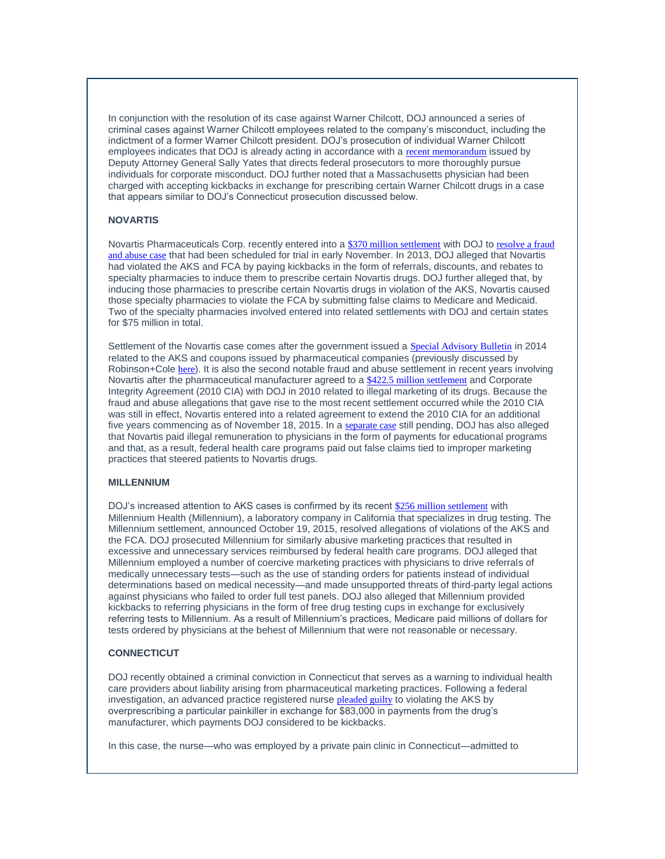In conjunction with the resolution of its case against Warner Chilcott, DOJ announced a series of criminal cases against Warner Chilcott employees related to the company's misconduct, including the indictment of a former Warner Chilcott president. DOJ's prosecution of individual Warner Chilcott employees indicates that DOJ is already acting in accordance with a [recent memorandum](http://t2806904.omkt.co/track.aspx?id=402|2AD478|6F10|54A3|D93|0|169F|1|70EF7066&destination=http%3a%2f%2fwww.justice.gov%2fdag%2ffile%2f769036%2fdownload&dchk=15218D07) issued by Deputy Attorney General Sally Yates that directs federal prosecutors to more thoroughly pursue individuals for corporate misconduct. DOJ further noted that a Massachusetts physician had been charged with accepting kickbacks in exchange for prescribing certain Warner Chilcott drugs in a case that appears similar to DOJ's Connecticut prosecution discussed below.

#### **NOVARTIS**

Novartis Pharmaceuticals Corp. recently entered into a [\\$370 million settlement](http://t2806904.omkt.co/track.aspx?id=402|2AD478|6F10|54A3|D93|0|16A0|1|70EF7066&destination=http%3a%2f%2fwww.justice.gov%2fusao-sdny%2fpr%2fmanhattan-us-attorney-announces-370-million-civil-fraud-settlement-against-novartis&dchk=6D26D9E5) with DOJ to [resolve a fraud](http://t2806904.omkt.co/track.aspx?id=402|2AD478|6F10|54A3|D93|0|16A1|1|70EF7066&destination=http%3a%2f%2fwww.justice.gov%2fusao-sdny%2ffile%2f794971%2fdownload&dchk=E050113)  [and abuse case](http://t2806904.omkt.co/track.aspx?id=402|2AD478|6F10|54A3|D93|0|16A1|1|70EF7066&destination=http%3a%2f%2fwww.justice.gov%2fusao-sdny%2ffile%2f794971%2fdownload&dchk=E050113) that had been scheduled for trial in early November. In 2013, DOJ alleged that Novartis had violated the AKS and FCA by paying kickbacks in the form of referrals, discounts, and rebates to specialty pharmacies to induce them to prescribe certain Novartis drugs. DOJ further alleged that, by inducing those pharmacies to prescribe certain Novartis drugs in violation of the AKS, Novartis caused those specialty pharmacies to violate the FCA by submitting false claims to Medicare and Medicaid. Two of the specialty pharmacies involved entered into related settlements with DOJ and certain states for \$75 million in total.

Settlement of the Novartis case comes after the government issued a [Special Advisory Bulletin](http://t2806904.omkt.co/track.aspx?id=402|2AD478|6F10|54A3|D93|0|16A2|1|70EF7066&destination=http%3a%2f%2foig.hhs.gov%2ffraud%2fdocs%2falertsandbulletins%2f2014%2fSAB_Copayment_Coupons.pdf&dchk=1D3B9729) in 2014 related to the AKS and coupons issued by pharmaceutical companies (previously discussed by Robinson+Cole [here](http://t2806904.omkt.co/track.aspx?id=402|2AD478|6F10|54A3|D93|0|16A3|1|70EF7066&destination=http%3a%2f%2fwww.rc.com%2fnewsletters%2f2014%2fupload%2fLegal-Update_Health-Law-Pulse_10-23-14.pdf%3futm_source%3dVocus%26utm_medium%3demail%26utm_campaign%3dRobinson%2b%2526%2bCole%2bLLP%26utm_content%3dBHC%2bLTBL%2b%2bHealth%2bLaw%2bPulse%2b%2b12115&dchk=13C2A09F)). It is also the second notable fraud and abuse settlement in recent years involving Novartis after the pharmaceutical manufacturer agreed to a [\\$422.5 million settlement](http://t2806904.omkt.co/track.aspx?id=402|2AD478|6F10|54A3|D93|0|16A4|1|70EF7066&destination=http%3a%2f%2fwww.justice.gov%2fopa%2fpr%2fnovartis-pharmaceuticals-corp-pay-more-420-million-resolve-label-promotion-and-kickback&dchk=7819720D) and Corporate Integrity Agreement (2010 CIA) with DOJ in 2010 related to illegal marketing of its drugs. Because the fraud and abuse allegations that gave rise to the most recent settlement occurred while the 2010 CIA was still in effect, Novartis entered into a related agreement to extend the 2010 CIA for an additional five years commencing as of November 18, 2015. In a [separate case](http://t2806904.omkt.co/track.aspx?id=402|2AD478|6F10|54A3|D93|0|16A5|1|70EF7066&destination=http%3a%2f%2fwww.justice.gov%2fopa%2fpr%2funited-states-files-complaint-against-novartis-pharmaceuticals-corp-allegedly-paying&dchk=383E02F2) still pending, DOJ has also alleged that Novartis paid illegal remuneration to physicians in the form of payments for educational programs and that, as a result, federal health care programs paid out false claims tied to improper marketing practices that steered patients to Novartis drugs.

#### **MILLENNIUM**

DOJ's increased attention to AKS cases is confirmed by its recent [\\$256 million settlement](http://t2806904.omkt.co/track.aspx?id=402|2AD478|6F10|54A3|D93|0|16A6|1|70EF7066&destination=http%3a%2f%2fwww.justice.gov%2fusao-ma%2fpr%2fmillennium-laboratories-pay-256-million-resolve-false-billing-and-kickback-claims&dchk=1F0516CD) with Millennium Health (Millennium), a laboratory company in California that specializes in drug testing. The Millennium settlement, announced October 19, 2015, resolved allegations of violations of the AKS and the FCA. DOJ prosecuted Millennium for similarly abusive marketing practices that resulted in excessive and unnecessary services reimbursed by federal health care programs. DOJ alleged that Millennium employed a number of coercive marketing practices with physicians to drive referrals of medically unnecessary tests—such as the use of standing orders for patients instead of individual determinations based on medical necessity—and made unsupported threats of third-party legal actions against physicians who failed to order full test panels. DOJ also alleged that Millennium provided kickbacks to referring physicians in the form of free drug testing cups in exchange for exclusively referring tests to Millennium. As a result of Millennium's practices, Medicare paid millions of dollars for tests ordered by physicians at the behest of Millennium that were not reasonable or necessary.

#### **CONNECTICUT**

DOJ recently obtained a criminal conviction in Connecticut that serves as a warning to individual health care providers about liability arising from pharmaceutical marketing practices. Following a federal investigation, an advanced practice registered nurse [pleaded guilty](http://t2806904.omkt.co/track.aspx?id=402|2AD478|6F10|54A3|D93|0|16A7|1|70EF7066&destination=http%3a%2f%2fwww.justice.gov%2fusao-ct%2fpr%2faprn-admits-receiving-kickbacks-drug-company-prescribing-pain-medication&dchk=230CE83A) to violating the AKS by overprescribing a particular painkiller in exchange for \$83,000 in payments from the drug's manufacturer, which payments DOJ considered to be kickbacks.

In this case, the nurse—who was employed by a private pain clinic in Connecticut—admitted to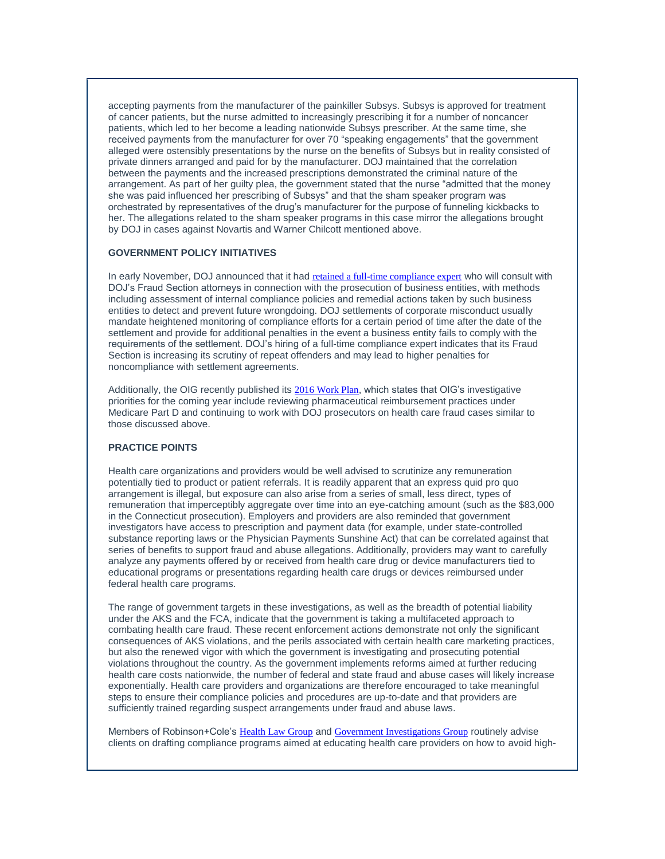accepting payments from the manufacturer of the painkiller Subsys. Subsys is approved for treatment of cancer patients, but the nurse admitted to increasingly prescribing it for a number of noncancer patients, which led to her become a leading nationwide Subsys prescriber. At the same time, she received payments from the manufacturer for over 70 "speaking engagements" that the government alleged were ostensibly presentations by the nurse on the benefits of Subsys but in reality consisted of private dinners arranged and paid for by the manufacturer. DOJ maintained that the correlation between the payments and the increased prescriptions demonstrated the criminal nature of the arrangement. As part of her guilty plea, the government stated that the nurse "admitted that the money she was paid influenced her prescribing of Subsys" and that the sham speaker program was orchestrated by representatives of the drug's manufacturer for the purpose of funneling kickbacks to her. The allegations related to the sham speaker programs in this case mirror the allegations brought by DOJ in cases against Novartis and Warner Chilcott mentioned above.

### **GOVERNMENT POLICY INITIATIVES**

In early November, DOJ announced that it had [retained a full-time compliance expert](http://t2806904.omkt.co/track.aspx?id=402|2AD478|6F10|54A3|D93|0|16A8|1|70EF7066&destination=http%3a%2f%2fwww.justice.gov%2fcriminal-fraud%2ffile%2f790236%2fdownload&dchk=6DFF9C9) who will consult with DOJ's Fraud Section attorneys in connection with the prosecution of business entities, with methods including assessment of internal compliance policies and remedial actions taken by such business entities to detect and prevent future wrongdoing. DOJ settlements of corporate misconduct usually mandate heightened monitoring of compliance efforts for a certain period of time after the date of the settlement and provide for additional penalties in the event a business entity fails to comply with the requirements of the settlement. DOJ's hiring of a full-time compliance expert indicates that its Fraud Section is increasing its scrutiny of repeat offenders and may lead to higher penalties for noncompliance with settlement agreements.

Additionally, the OIG recently published its [2016 Work Plan](http://t2806904.omkt.co/track.aspx?id=402|2AD478|6F10|54A3|D93|0|16A9|1|70EF7066&destination=http%3a%2f%2fwww.oig.hhs.gov%2freports-and-publications%2farchives%2fworkplan%2f2016%2foig-work-plan-2016.pdf&dchk=211EC7CC), which states that OIG's investigative priorities for the coming year include reviewing pharmaceutical reimbursement practices under Medicare Part D and continuing to work with DOJ prosecutors on health care fraud cases similar to those discussed above.

### **PRACTICE POINTS**

Health care organizations and providers would be well advised to scrutinize any remuneration potentially tied to product or patient referrals. It is readily apparent that an express quid pro quo arrangement is illegal, but exposure can also arise from a series of small, less direct, types of remuneration that imperceptibly aggregate over time into an eye-catching amount (such as the \$83,000 in the Connecticut prosecution). Employers and providers are also reminded that government investigators have access to prescription and payment data (for example, under state-controlled substance reporting laws or the Physician Payments Sunshine Act) that can be correlated against that series of benefits to support fraud and abuse allegations. Additionally, providers may want to carefully analyze any payments offered by or received from health care drug or device manufacturers tied to educational programs or presentations regarding health care drugs or devices reimbursed under federal health care programs.

The range of government targets in these investigations, as well as the breadth of potential liability under the AKS and the FCA, indicate that the government is taking a multifaceted approach to combating health care fraud. These recent enforcement actions demonstrate not only the significant consequences of AKS violations, and the perils associated with certain health care marketing practices, but also the renewed vigor with which the government is investigating and prosecuting potential violations throughout the country. As the government implements reforms aimed at further reducing health care costs nationwide, the number of federal and state fraud and abuse cases will likely increase exponentially. Health care providers and organizations are therefore encouraged to take meaningful steps to ensure their compliance policies and procedures are up-to-date and that providers are sufficiently trained regarding suspect arrangements under fraud and abuse laws.

Members of Robinson+Cole's [Health Law Group](http://t2806904.omkt.co/track.aspx?id=402|2AD478|6F10|54A3|D93|0|16AA|1|70EF7066&destination=http%3a%2f%2ft2806904.omkt.co%2ftrack.aspx%3fid%3d402%7c2AD478%7c6F10%7c53E0%7cB71%7c0%7cF2C%7c1%7c70155BF6%26destination%3dhttp%253a%252f%252fwww.rc.com%252fpractices%252fHealthLaw%252findex.cfm%253futm_source%253dVocus%2526utm_medium%253demail%2526utm_campaign%253dRobinson%252b%252526%252bCole%252bLLP%2526utm_content%253dConnecticut%252bHealth%252bLaw%252bLegislative%252bUpdate%26dchk%3d4C1CF6BE&dchk=13EE0EA9) and [Government Investigations Group](http://t2806904.omkt.co/track.aspx?id=402|2AD478|6F10|54A3|D93|0|16AB|1|70EF7066&destination=http%3a%2f%2fwww.rc.com%2fpractices%2fLitigation%2fWhiteCollarCrimeandGovernmentInvestigations%2findex.cfm%3futm_source%3dVocus%26utm_medium%3demail%26utm_campaign%3dRobinson%2b%2526%2bCole%2bLLP%26utm_content%3dBHC%2bLTBL%2b%2bHealth%2bLaw%2bPulse%2b%2b12115&dchk=5B294E12) routinely advise clients on drafting compliance programs aimed at educating health care providers on how to avoid high-